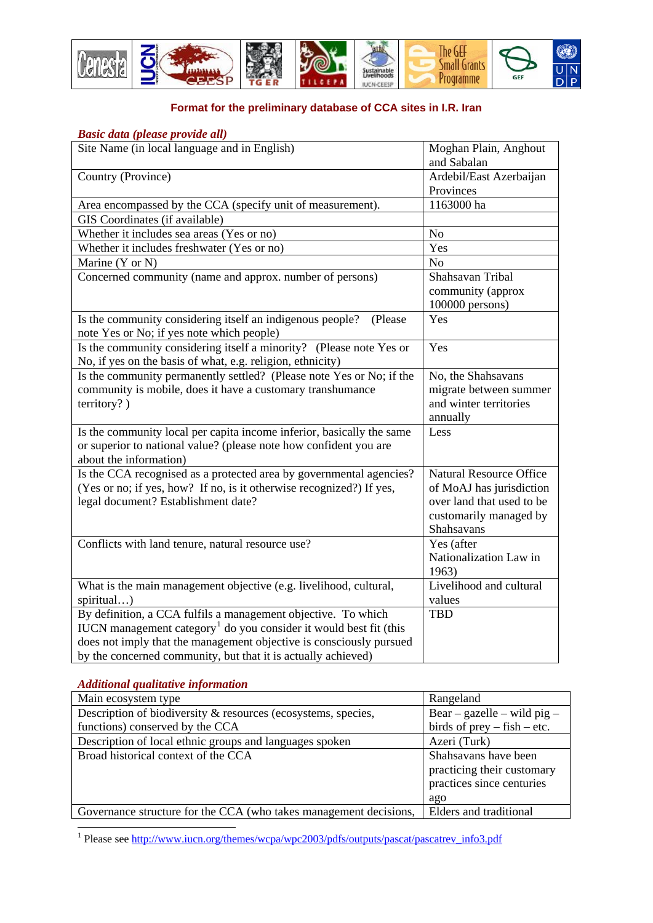

## **Format for the preliminary database of CCA sites in I.R. Iran**

## *Basic data (please provide all)*

| Site Name (in local language and in English)                                  | Moghan Plain, Anghout          |
|-------------------------------------------------------------------------------|--------------------------------|
|                                                                               | and Sabalan                    |
| Country (Province)                                                            | Ardebil/East Azerbaijan        |
|                                                                               | Provinces                      |
| Area encompassed by the CCA (specify unit of measurement).                    | 1163000 ha                     |
| GIS Coordinates (if available)                                                |                                |
| Whether it includes sea areas (Yes or no)                                     | No                             |
| Whether it includes freshwater (Yes or no)                                    | Yes                            |
| Marine (Y or N)                                                               | N <sub>o</sub>                 |
| Concerned community (name and approx. number of persons)                      | Shahsavan Tribal               |
|                                                                               | community (approx              |
|                                                                               | 100000 persons)                |
| Is the community considering itself an indigenous people?<br>(Please          | Yes                            |
| note Yes or No; if yes note which people)                                     |                                |
| Is the community considering itself a minority? (Please note Yes or           | Yes                            |
| No, if yes on the basis of what, e.g. religion, ethnicity)                    |                                |
| Is the community permanently settled? (Please note Yes or No; if the          | No, the Shahsavans             |
| community is mobile, does it have a customary transhumance                    | migrate between summer         |
| territory?)                                                                   | and winter territories         |
|                                                                               | annually                       |
| Is the community local per capita income inferior, basically the same         | Less                           |
| or superior to national value? (please note how confident you are             |                                |
| about the information)                                                        |                                |
| Is the CCA recognised as a protected area by governmental agencies?           | <b>Natural Resource Office</b> |
| (Yes or no; if yes, how? If no, is it otherwise recognized?) If yes,          | of MoAJ has jurisdiction       |
| legal document? Establishment date?                                           | over land that used to be      |
|                                                                               | customarily managed by         |
|                                                                               | Shahsavans                     |
| Conflicts with land tenure, natural resource use?                             | Yes (after                     |
|                                                                               | Nationalization Law in         |
|                                                                               | 1963)                          |
| What is the main management objective (e.g. livelihood, cultural,             | Livelihood and cultural        |
| spiritual)                                                                    | values                         |
| By definition, a CCA fulfils a management objective. To which                 | <b>TBD</b>                     |
| IUCN management category <sup>1</sup> do you consider it would best fit (this |                                |
| does not imply that the management objective is consciously pursued           |                                |
| by the concerned community, but that it is actually achieved)                 |                                |

*Additional qualitative information* 

| Main ecosystem type                                               | Rangeland                     |
|-------------------------------------------------------------------|-------------------------------|
| Description of biodiversity & resources (ecosystems, species,     | Bear – gazelle – wild pig –   |
| functions) conserved by the CCA                                   | birds of $prey$ – fish – etc. |
| Description of local ethnic groups and languages spoken           | Azeri (Turk)                  |
| Broad historical context of the CCA                               | Shahsavans have been          |
|                                                                   | practicing their customary    |
|                                                                   | practices since centuries     |
|                                                                   | ago                           |
| Governance structure for the CCA (who takes management decisions, | Elders and traditional        |

<span id="page-0-0"></span>1<br><sup>1</sup> Please see http://www.iucn.org/themes/wcpa/wpc2003/pdfs/outputs/pascat/pascatrev\_info3.pdf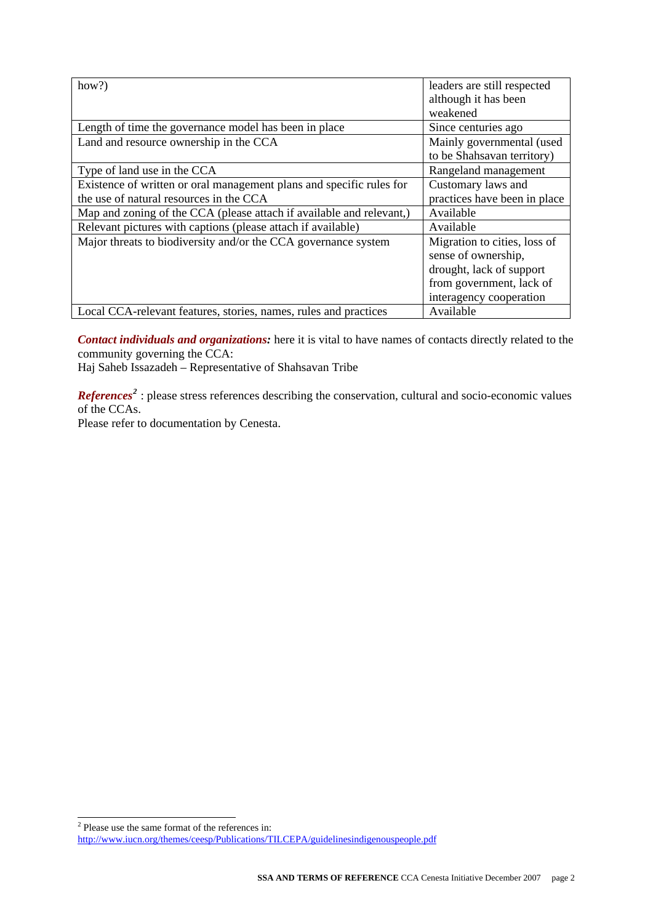| how?)                                                                | leaders are still respected  |
|----------------------------------------------------------------------|------------------------------|
|                                                                      |                              |
|                                                                      | although it has been         |
|                                                                      | weakened                     |
| Length of time the governance model has been in place                | Since centuries ago          |
| Land and resource ownership in the CCA                               | Mainly governmental (used    |
|                                                                      | to be Shahsavan territory)   |
| Type of land use in the CCA                                          | Rangeland management         |
| Existence of written or oral management plans and specific rules for | Customary laws and           |
| the use of natural resources in the CCA                              | practices have been in place |
| Map and zoning of the CCA (please attach if available and relevant,) | Available                    |
| Relevant pictures with captions (please attach if available)         | Available                    |
| Major threats to biodiversity and/or the CCA governance system       | Migration to cities, loss of |
|                                                                      | sense of ownership,          |
|                                                                      | drought, lack of support     |
|                                                                      | from government, lack of     |
|                                                                      | interagency cooperation      |
| Local CCA-relevant features, stories, names, rules and practices     | Available                    |

*Contact individuals and organizations:* here it is vital to have names of contacts directly related to the community governing the CCA:

Haj Saheb Issazadeh – Representative of Shahsavan Tribe

*References*<sup>[2](#page-1-0)</sup>: please stress references describing the conservation, cultural and socio-economic values of the CCAs.

Please refer to documentation by Cenesta.

Please use the same format of the references in:

<span id="page-1-0"></span><http://www.iucn.org/themes/ceesp/Publications/TILCEPA/guidelinesindigenouspeople.pdf>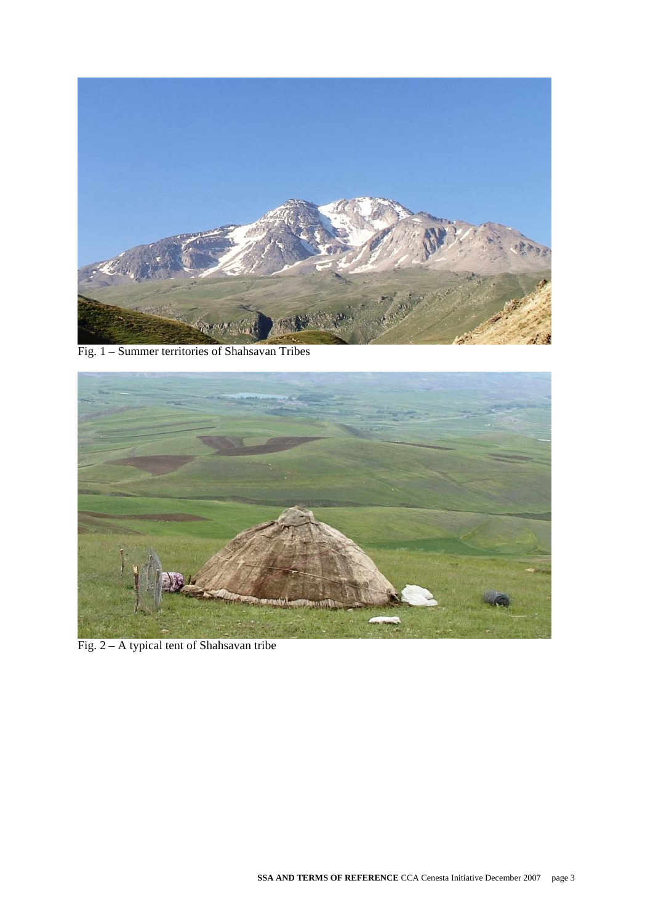

Fig. 1 – Summer territories of Shahsavan Tribes



Fig. 2 – A typical tent of Shahsavan tribe